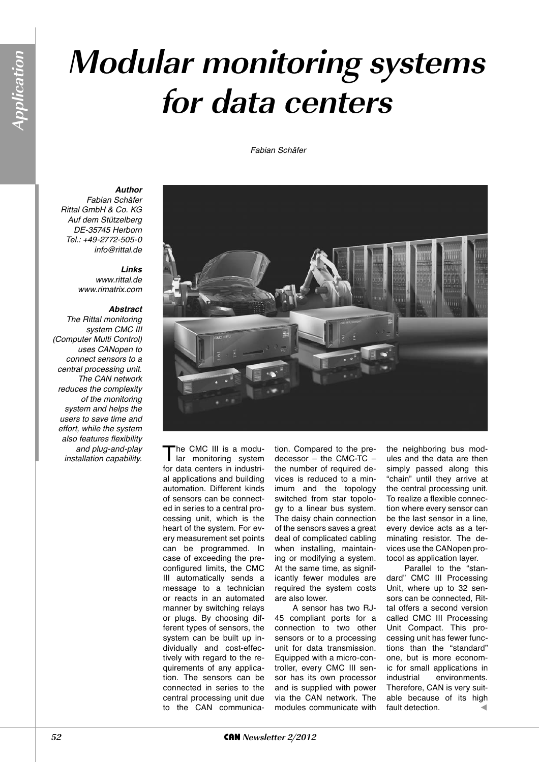## **Modular monitoring systems for data centers**

Fabian Schäfer



Fabian Schäfer Rittal GmbH & Co. KG Auf dem Stützelberg DE-35745 Herborn Tel.: +49-2772-505-0 info@rittal.de

## *Links*

www.rittal.de www.rimatrix.com

## *Abstract*

The Rittal monitoring system CMC III (Computer Multi Control) uses CANopen to connect sensors to a central processing unit. The CAN network reduces the complexity of the monitoring system and helps the users to save time and effort, while the system also features flexibility and plug-and-play and plug-and-play<br>
installation capability. The CMC III is a modu-<br>
I lar monitoring system

for data centers in industrial applications and building automation. Different kinds of sensors can be connected in series to a central processing unit, which is the heart of the system. For every measurement set points can be programmed. In case of exceeding the preconfigured limits, the CMC III automatically sends a message to a technician or reacts in an automated manner by switching relays or plugs. By choosing different types of sensors, the system can be built up individually and cost-effection. Compared to the predecessor – the CMC-TC – the number of required devices is reduced to a minimum and the topology switched from star topology to a linear bus system. The daisy chain connection of the sensors saves a great deal of complicated cabling when installing, maintaining or modifying a system. At the same time, as significantly fewer modules are required the system costs are also lower. A sensor has two RJ-45 compliant ports for a connection to two other

sensors or to a processing unit for data transmission. Equipped with a micro-controller, every CMC III sensor has its own processor and is supplied with power via the CAN network. The modules communicate with

the neighboring bus modules and the data are then simply passed along this "chain" until they arrive at the central processing unit. To realize a flexible connection where every sensor can be the last sensor in a line, every device acts as a terminating resistor. The devices use the CANopen protocol as application layer.

Parallel to the "standard" CMC III Processing Unit, where up to 32 sensors can be connected, Rittal offers a second version called CMC III Processing Unit Compact. This processing unit has fewer functions than the "standard" one, but is more economic for small applications in industrial environments. Therefore, CAN is very suitable because of its high fault detection.

tively with regard to the requirements of any application. The sensors can be connected in series to the central processing unit due to the CAN communica-